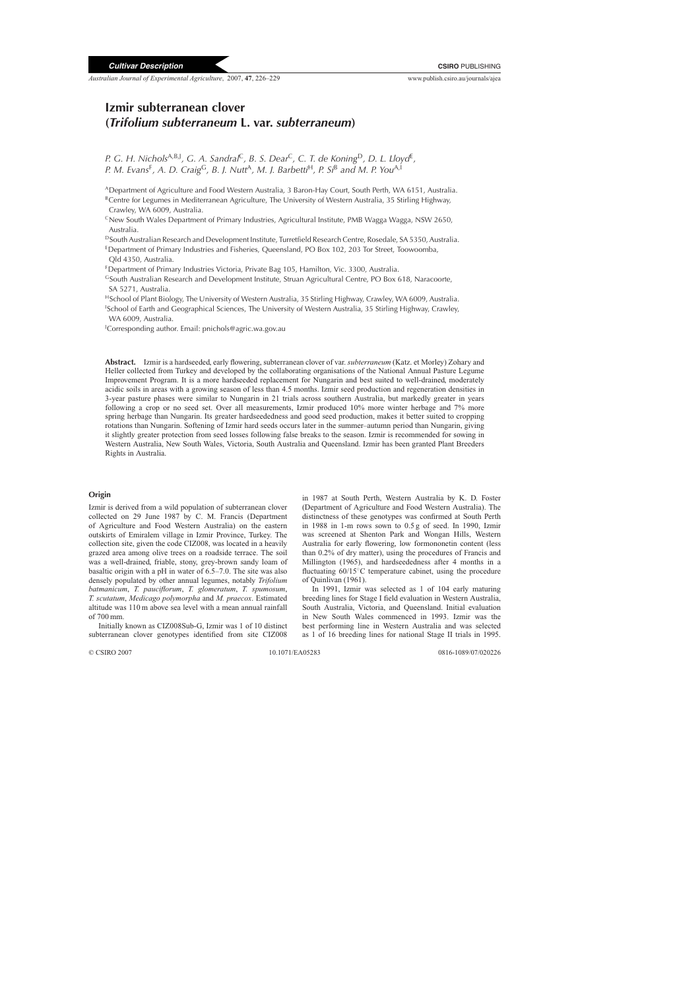*Australian Journal of Experimental Agriculture*, 2007, **47**, 226–229 www.publish.csiro.au/journals/ajea

# **Izmir subterranean clover (***Trifolium subterraneum* **L. var.** *subterraneum***)**

*P. G. H. Nichols*<sup>A,B,J</sup>, *G. A. Sandral*<sup>C</sup>, *B. S. Dear<sup>C</sup>, <i>C. T. de Koning*<sup>D</sup>, *D. L. Lloyd*<sup>E</sup>, *P. M. Evans*<sup>F</sup>*, A. D. Craig*<sup>G</sup>*, B. J. Nutt*<sup>A</sup>*, M. J. Barbetti*<sup>H</sup>*, P. Si*<sup>B</sup> *and M. P. You*A,I

ADepartment of Agriculture and Food Western Australia, 3 Baron-Hay Court, South Perth, WA 6151, Australia.

<sup>B</sup>Centre for Legumes in Mediterranean Agriculture, The University of Western Australia, 35 Stirling Highway, Crawley, WA 6009, Australia.

 $C$ New South Wales Department of Primary Industries, Agricultural Institute, PMB Wagga Wagga, NSW 2650, Australia.

DSouth Australian Research and Development Institute, Turretfield Research Centre, Rosedale, SA 5350, Australia.

EDepartment of Primary Industries and Fisheries, Queensland, PO Box 102, 203 Tor Street, Toowoomba, Qld 4350, Australia.

FDepartment of Primary Industries Victoria, Private Bag 105, Hamilton, Vic. 3300, Australia.

GSouth Australian Research and Development Institute, Struan Agricultural Centre, PO Box 618, Naracoorte, SA 5271, Australia.

HSchool of Plant Biology, The University of Western Australia, 35 Stirling Highway, Crawley, WA 6009, Australia. <sup>1</sup>School of Earth and Geographical Sciences, The University of Western Australia, 35 Stirling Highway, Crawley, WA 6009, Australia.

J Corresponding author. Email: pnichols@agric.wa.gov.au

**Abstract.** Izmir is a hardseeded, early flowering, subterranean clover of var. *subterraneum* (Katz. et Morley) Zohary and Heller collected from Turkey and developed by the collaborating organisations of the National Annual Pasture Legume Improvement Program. It is a more hardseeded replacement for Nungarin and best suited to well-drained, moderately acidic soils in areas with a growing season of less than 4.5 months. Izmir seed production and regeneration densities in 3-year pasture phases were similar to Nungarin in 21 trials across southern Australia, but markedly greater in years following a crop or no seed set. Over all measurements, Izmir produced 10% more winter herbage and 7% more spring herbage than Nungarin. Its greater hardseededness and good seed production, makes it better suited to cropping rotations than Nungarin. Softening of Izmir hard seeds occurs later in the summer–autumn period than Nungarin, giving it slightly greater protection from seed losses following false breaks to the season. Izmir is recommended for sowing in Western Australia, New South Wales, Victoria, South Australia and Queensland. Izmir has been granted Plant Breeders Rights in Australia.

#### **Origin**

Izmir is derived from a wild population of subterranean clover collected on 29 June 1987 by C. M. Francis (Department of Agriculture and Food Western Australia) on the eastern outskirts of Emiralem village in Izmir Province, Turkey. The collection site, given the code CIZ008, was located in a heavily grazed area among olive trees on a roadside terrace. The soil was a well-drained, friable, stony, grey-brown sandy loam of basaltic origin with a pH in water of 6.5–7.0. The site was also densely populated by other annual legumes, notably *Trifolium batmanicum*, *T. pauciflorum*, *T. glomeratum*, *T. spumosum*, *T. scutatum*, *Medicago polymorpha* and *M. praecox*. Estimated altitude was 110 m above sea level with a mean annual rainfall of 700 mm.

Initially known as CIZ008Sub-G, Izmir was 1 of 10 distinct subterranean clover genotypes identified from site CIZ008

in 1987 at South Perth, Western Australia by K. D. Foster (Department of Agriculture and Food Western Australia). The distinctness of these genotypes was confirmed at South Perth in 1988 in 1-m rows sown to 0.5 g of seed. In 1990, Izmir was screened at Shenton Park and Wongan Hills, Western Australia for early flowering, low formononetin content (less than 0.2% of dry matter), using the procedures of [Francis and](#page-2-0) Millington (1965), and hardseededness after 4 months in a fluctuating 60/15◦C temperature cabinet, using the procedure of [Quinlivan \(1961\).](#page-3-0)

In 1991, Izmir was selected as 1 of 104 early maturing breeding lines for Stage I field evaluation in Western Australia, South Australia, Victoria, and Queensland. Initial evaluation in New South Wales commenced in 1993. Izmir was the best performing line in Western Australia and was selected as 1 of 16 breeding lines for national Stage II trials in 1995.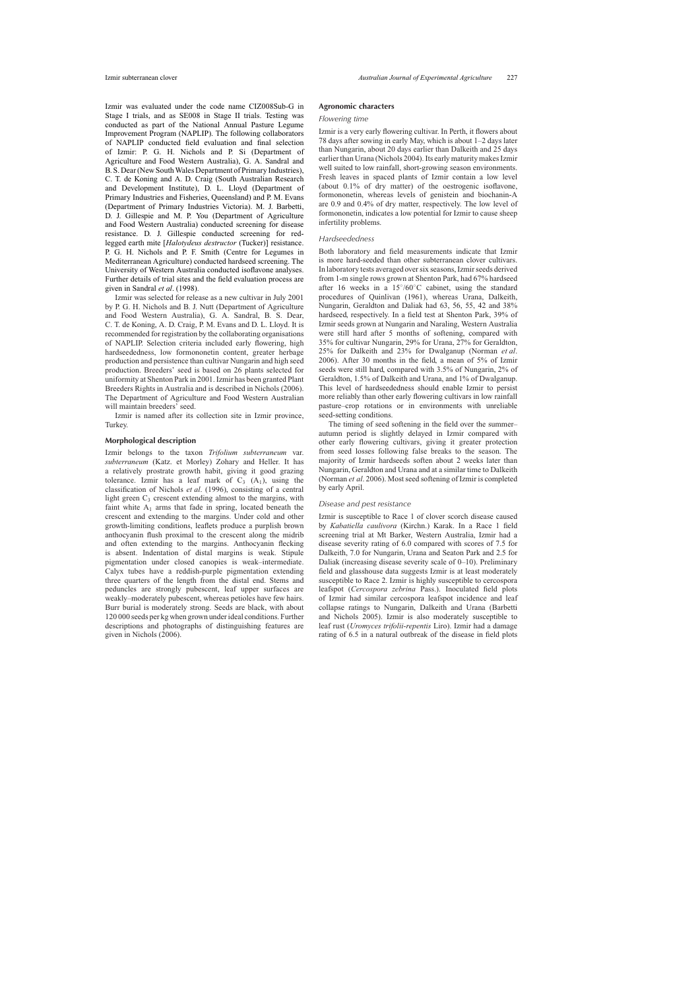Izmir was evaluated under the code name CIZ008Sub-G in Stage I trials, and as SE008 in Stage II trials. Testing was conducted as part of the National Annual Pasture Legume Improvement Program (NAPLIP). The following collaborators of NAPLIP conducted field evaluation and final selection of Izmir: P. G. H. Nichols and P. Si (Department of Agriculture and Food Western Australia), G. A. Sandral and B. S. Dear (New South Wales Department of Primary Industries), C. T. de Koning and A. D. Craig (South Australian Research and Development Institute), D. L. Lloyd (Department of Primary Industries and Fisheries, Queensland) and P. M. Evans (Department of Primary Industries Victoria). M. J. Barbetti, D. J. Gillespie and M. P. You (Department of Agriculture and Food Western Australia) conducted screening for disease resistance. D. J. Gillespie conducted screening for redlegged earth mite [*Halotydeus destructor* (Tucker)] resistance. P. G. H. Nichols and P. F. Smith (Centre for Legumes in Mediterranean Agriculture) conducted hardseed screening. The University of Western Australia conducted isoflavone analyses. Further details of trial sites and the field evaluation process are given in Sandral *et al*[. \(1998\).](#page-3-0)

Izmir was selected for release as a new cultivar in July 2001 by P. G. H. Nichols and B. J. Nutt (Department of Agriculture and Food Western Australia), G. A. Sandral, B. S. Dear, C. T. de Koning, A. D. Craig, P. M. Evans and D. L. Lloyd. It is recommended for registration by the collaborating organisations of NAPLIP. Selection criteria included early flowering, high hardseededness, low formononetin content, greater herbage production and persistence than cultivar Nungarin and high seed production. Breeders' seed is based on 26 plants selected for uniformity at Shenton Park in 2001. Izmir has been granted Plant Breeders Rights in Australia and is described in [Nichols \(2006\).](#page-2-0) The Department of Agriculture and Food Western Australian will maintain breeders' seed.

Izmir is named after its collection site in Izmir province, Turkey.

## **Morphological description**

Izmir belongs to the taxon *Trifolium subterraneum* var. *subterraneum* (Katz. et Morley) Zohary and Heller. It has a relatively prostrate growth habit, giving it good grazing tolerance. Izmir has a leaf mark of  $C_3$   $(A_1)$ , using the classification of Nichols *et al*[. \(1996\),](#page-3-0) consisting of a central light green  $C_3$  crescent extending almost to the margins, with faint white  $A_1$  arms that fade in spring, located beneath the crescent and extending to the margins. Under cold and other growth-limiting conditions, leaflets produce a purplish brown anthocyanin flush proximal to the crescent along the midrib and often extending to the margins. Anthocyanin flecking is absent. Indentation of distal margins is weak. Stipule pigmentation under closed canopies is weak–intermediate. Calyx tubes have a reddish-purple pigmentation extending three quarters of the length from the distal end. Stems and peduncles are strongly pubescent, leaf upper surfaces are weakly–moderately pubescent, whereas petioles have few hairs. Burr burial is moderately strong. Seeds are black, with about 120 000 seeds per kg when grown under ideal conditions. Further descriptions and photographs of distinguishing features are given in [Nichols \(2006\).](#page-2-0)

# **Agronomic characters**

#### *Flowering time*

Izmir is a very early flowering cultivar. In Perth, it flowers about 78 days after sowing in early May, which is about 1–2 days later than Nungarin, about 20 days earlier than Dalkeith and 25 days earlier than Urana ([Nichols 2004\).](#page-2-0) Its early maturity makes Izmir well suited to low rainfall, short-growing season environments. Fresh leaves in spaced plants of Izmir contain a low level (about 0.1% of dry matter) of the oestrogenic isoflavone, formononetin, whereas levels of genistein and biochanin-A are 0.9 and 0.4% of dry matter, respectively. The low level of formononetin, indicates a low potential for Izmir to cause sheep infertility problems.

## *Hardseededness*

Both laboratory and field measurements indicate that Izmir is more hard-seeded than other subterranean clover cultivars. In laboratory tests averaged over six seasons, Izmir seeds derived from 1-m single rows grown at Shenton Park, had 67% hardseed after 16 weeks in a 15◦/60◦C cabinet, using the standard procedures of [Quinlivan \(1961\),](#page-3-0) whereas Urana, Dalkeith, Nungarin, Geraldton and Daliak had 63, 56, 55, 42 and 38% hardseed, respectively. In a field test at Shenton Park, 39% of Izmir seeds grown at Nungarin and Naraling, Western Australia were still hard after 5 months of softening, compared with 35% for cultivar Nungarin, 29% for Urana, 27% for Geraldton, 25% for Dalkeith and 23% for Dwalganup ([Norman](#page-3-0) *et al*. 2006). After 30 months in the field, a mean of 5% of Izmir seeds were still hard, compared with 3.5% of Nungarin, 2% of Geraldton, 1.5% of Dalkeith and Urana, and 1% of Dwalganup. This level of hardseededness should enable Izmir to persist more reliably than other early flowering cultivars in low rainfall pasture–crop rotations or in environments with unreliable seed-setting conditions.

The timing of seed softening in the field over the summer– autumn period is slightly delayed in Izmir compared with other early flowering cultivars, giving it greater protection from seed losses following false breaks to the season. The majority of Izmir hardseeds soften about 2 weeks later than Nungarin, Geraldton and Urana and at a similar time to Dalkeith ([Norman](#page-3-0) *et al*. 2006). Most seed softening of Izmir is completed by early April.

## *Disease and pest resistance*

Izmir is susceptible to Race 1 of clover scorch disease caused by *Kabatiella caulivora* (Kirchn.) Karak. In a Race 1 field screening trial at Mt Barker, Western Australia, Izmir had a disease severity rating of 6.0 compared with scores of 7.5 for Dalkeith, 7.0 for Nungarin, Urana and Seaton Park and 2.5 for Daliak (increasing disease severity scale of 0–10). Preliminary field and glasshouse data suggests Izmir is at least moderately susceptible to Race 2. Izmir is highly susceptible to cercospora leafspot (*Cercospora zebrina* Pass.). Inoculated field plots of Izmir had similar cercospora leafspot incidence and leaf collapse ratings to Nungarin, Dalkeith and Urana [\(Barbetti](#page-2-0) and Nichols 2005). Izmir is also moderately susceptible to leaf rust (*Uromyces trifolii-repentis* Liro). Izmir had a damage rating of 6.5 in a natural outbreak of the disease in field plots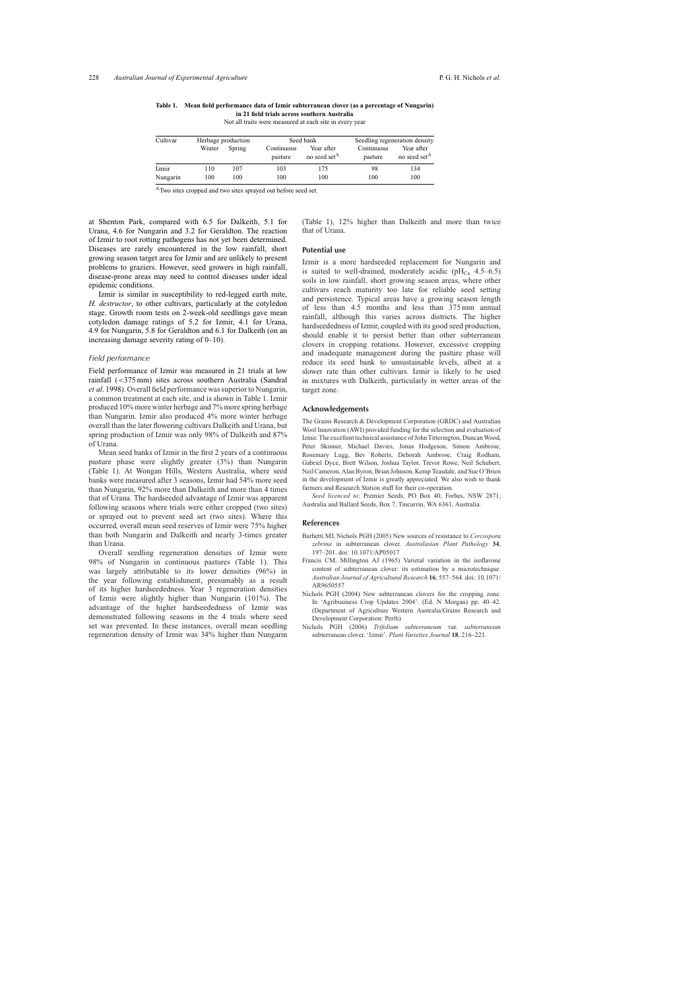| Cultivar | Herbage production |        | Seed bank             |                                        | Seedling regeneration density |                                        |
|----------|--------------------|--------|-----------------------|----------------------------------------|-------------------------------|----------------------------------------|
|          | Winter             | Spring | Continuous<br>pasture | Year after<br>no seed set <sup>A</sup> | Continuous<br>pasture         | Year after<br>no seed set <sup>A</sup> |
| Izmir    | 110                | 107    | 103                   | 175                                    | 98                            | 134                                    |
| Nungarin | 100                | 100    | 100                   | 100                                    | 100                           | 100                                    |

<span id="page-2-0"></span>**Table 1. Mean field performance data of Izmir subterranean clover (as a percentage of Nungarin) in 21 field trials across southern Australia**

Not all traits were measured at each site in every year

<sup>A</sup>Two sites cropped and two sites sprayed out before seed set.

at Shenton Park, compared with 6.5 for Dalkeith, 5.1 for Urana, 4.6 for Nungarin and 3.2 for Geraldton. The reaction of Izmir to root rotting pathogens has not yet been determined. Diseases are rarely encountered in the low rainfall, short growing season target area for Izmir and are unlikely to present problems to graziers. However, seed growers in high rainfall, disease-prone areas may need to control diseases under ideal epidemic conditions.

Izmir is similar in susceptibility to red-legged earth mite, *H. destructor*, to other cultivars, particularly at the cotyledon stage. Growth room tests on 2-week-old seedlings gave mean cotyledon damage ratings of 5.2 for Izmir, 4.1 for Urana, 4.9 for Nungarin, 5.8 for Geraldton and 6.1 for Dalkeith (on an increasing damage severity rating of 0–10).

#### *Field performance*

Field performance of Izmir was measured in 21 trials at low rainfall (<375 mm) sites across southern Australia ([Sandral](#page-3-0) *et al*. 1998). Overall field performance was superior to Nungarin, a common treatment at each site, and is shown in Table 1. Izmir produced 10% more winter herbage and 7% more spring herbage than Nungarin. Izmir also produced 4% more winter herbage overall than the later flowering cultivars Dalkeith and Urana, but spring production of Izmir was only 98% of Dalkeith and 87% of Urana.

Mean seed banks of Izmir in the first 2 years of a continuous pasture phase were slightly greater (3%) than Nungarin (Table 1). At Wongan Hills, Western Australia, where seed banks were measured after 3 seasons, Izmir had 54% more seed than Nungarin, 92% more than Dalkeith and more than 4 times that of Urana. The hardseeded advantage of Izmir was apparent following seasons where trials were either cropped (two sites) or sprayed out to prevent seed set (two sites). Where this occurred, overall mean seed reserves of Izmir were 75% higher than both Nungarin and Dalkeith and nearly 3-times greater than Urana.

Overall seedling regeneration densities of Izmir were 98% of Nungarin in continuous pastures (Table 1). This was largely attributable to its lower densities (96%) in the year following establishment, presumably as a result of its higher hardseededness. Year 3 regeneration densities of Izmir were slightly higher than Nungarin (101%). The advantage of the higher hardseededness of Izmir was demonstrated following seasons in the 4 trials where seed set was prevented. In these instances, overall mean seedling regeneration density of Izmir was 34% higher than Nungarin

(Table 1), 12% higher than Dalkeith and more than twice that of Urana.

## **Potential use**

Izmir is a more hardseeded replacement for Nungarin and is suited to well-drained, moderately acidic ( $pH_{Ca}$  4.5–6.5) soils in low rainfall, short growing season areas, where other cultivars reach maturity too late for reliable seed setting and persistence. Typical areas have a growing season length of less than 4.5 months and less than 375 mm annual rainfall, although this varies across districts. The higher hardseededness of Izmir, coupled with its good seed production, should enable it to persist better than other subterranean clovers in cropping rotations. However, excessive cropping and inadequate management during the pasture phase will reduce its seed bank to unsustainable levels, albeit at a slower rate than other cultivars. Izmir is likely to be used in mixtures with Dalkeith, particularly in wetter areas of the target zone.

#### **Acknowledgements**

The Grains Research & Development Corporation (GRDC) and Australian Wool Innovation (AWI) provided funding for the selection and evaluation of Izmir. The excellent technical assistance of John Titterington, Duncan Wood, Peter Skinner, Michael Davies, Jonas Hodgeson, Simon Ambrose, Rosemary Lugg, Bev Roberts, Deborah Ambrose, Craig Rodham, Gabriel Dyce, Brett Wilson, Joshua Taylor, Trevor Rowe, Neil Schubert, Neil Cameron, Alan Byron, Brian Johnson, Kemp Teasdale, and Sue O'Brien in the development of Izmir is greatly appreciated. We also wish to thank farmers and Research Station staff for their co-operation.

*Seed licenced to*: Premier Seeds, PO Box 40, Forbes, NSW 2871, Australia and Ballard Seeds, Box 7, Tincurrin, WA 6361, Australia.

#### **References**

- Barbetti MJ, Nichols PGH (2005) New sources of resistance to *Cercospora zebrina* in subterranean clover. *Australasian Plant Pathology* **34**, 197–201. doi: 10.1071/AP05017
- Francis CM, Millington AJ (1965) Varietal variation in the isoflavone content of subterranean clover: its estimation by a microtechnique. *Australian Journal of Agricultural Research* **16**, 557–564. doi: 10.1071/ AR9650557
- Nichols PGH (2004) New subterranean clovers for the cropping zone. In 'Agribusiness Crop Updates 2004'. (Ed. N Morgan) pp. 40–42. (Department of Agriculture Western Australia/Grains Research and Development Corporation: Perth)
- Nichols PGH (2006) *Trifolium subterraneum* var. *subterraneum* subterranean clover. 'Izmir'. *Plant Varieties Journal* **18**, 216–221.